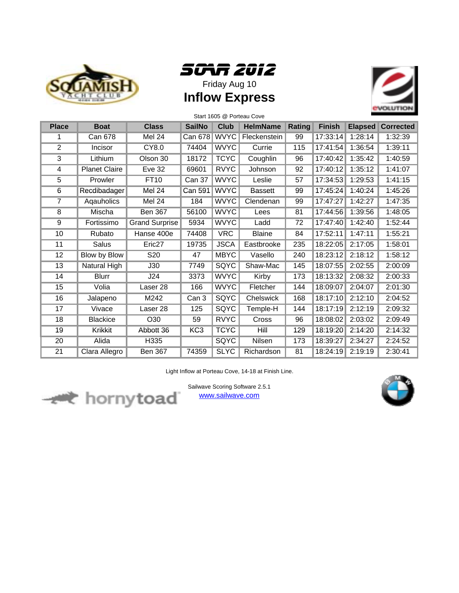





| Start 1605 @ Porteau Cove |                      |                       |                 |             |                 |        |               |                |                  |  |
|---------------------------|----------------------|-----------------------|-----------------|-------------|-----------------|--------|---------------|----------------|------------------|--|
| <b>Place</b>              | <b>Boat</b>          | <b>Class</b>          | <b>SailNo</b>   | <b>Club</b> | <b>HelmName</b> | Rating | <b>Finish</b> | <b>Elapsed</b> | <b>Corrected</b> |  |
|                           | <b>Can 678</b>       | Mel 24                | <b>Can 678</b>  | <b>WVYC</b> | Fleckenstein    | 99     | 17:33:14      | 1:28:14        | 1:32:39          |  |
| $\overline{2}$            | Incisor              | <b>CY8.0</b>          | 74404           | <b>WVYC</b> | Currie          | 115    | 17:41:54      | 1:36:54        | 1:39:11          |  |
| 3                         | Lithium              | Olson 30              | 18172           | <b>TCYC</b> | Coughlin        | 96     | 17:40:42      | 1:35:42        | 1:40:59          |  |
| 4                         | <b>Planet Claire</b> | <b>Eve 32</b>         | 69601           | <b>RVYC</b> | Johnson         | 92     | 17:40:12      | 1:35:12        | 1:41:07          |  |
| 5                         | Prowler              | FT10                  | Can 37          | <b>WVYC</b> | Leslie          | 57     | 17:34:53      | 1:29:53        | 1:41:15          |  |
| 6                         | Recdibadager         | Mel 24                | <b>Can 591</b>  | <b>WVYC</b> | <b>Bassett</b>  | 99     | 17:45:24      | 1:40:24        | 1:45:26          |  |
| 7                         | Agauholics           | Mel 24                | 184             | <b>WVYC</b> | Clendenan       | 99     | 17:47:27      | 1:42:27        | 1:47:35          |  |
| 8                         | Mischa               | <b>Ben 367</b>        | 56100           | <b>WVYC</b> | Lees            | 81     | 17:44:56      | 1:39:56        | 1:48:05          |  |
| 9                         | Fortissimo           | <b>Grand Surprise</b> | 5934            | <b>WVYC</b> | Ladd            | 72     | 17:47:40      | 1:42:40        | 1:52:44          |  |
| 10                        | Rubato               | Hanse 400e            | 74408           | <b>VRC</b>  | <b>Blaine</b>   | 84     | 17:52:11      | 1:47:11        | 1:55:21          |  |
| 11                        | Salus                | Eric <sub>27</sub>    | 19735           | <b>JSCA</b> | Eastbrooke      | 235    | 18:22:05      | 2:17:05        | 1:58:01          |  |
| 12                        | <b>Blow by Blow</b>  | S <sub>20</sub>       | 47              | <b>MBYC</b> | Vasello         | 240    | 18:23:12      | 2:18:12        | 1:58:12          |  |
| 13                        | Natural High         | J30                   | 7749            | SQYC        | Shaw-Mac        | 145    | 18:07:55      | 2:02:55        | 2:00:09          |  |
| 14                        | <b>Blurr</b>         | J24                   | 3373            | <b>WVYC</b> | Kirby           | 173    | 18:13:32      | 2:08:32        | 2:00:33          |  |
| 15                        | Volia                | Laser 28              | 166             | <b>WVYC</b> | Fletcher        | 144    | 18:09:07      | 2:04:07        | 2:01:30          |  |
| 16                        | Jalapeno             | M242                  | Can 3           | <b>SQYC</b> | Chelswick       | 168    | 18:17:10      | 2:12:10        | 2:04:52          |  |
| 17                        | Vivace               | Laser 28              | 125             | SQYC        | Temple-H        | 144    | 18:17:19      | 2:12:19        | 2:09:32          |  |
| 18                        | <b>Blackice</b>      | O30                   | 59              | <b>RVYC</b> | Cross           | 96     | 18:08:02      | 2:03:02        | 2:09:49          |  |
| 19                        | Krikkit              | Abbott 36             | KC <sub>3</sub> | <b>TCYC</b> | Hill            | 129    | 18:19:20      | 2:14:20        | 2:14:32          |  |
| 20                        | Alida                | H335                  |                 | <b>SQYC</b> | Nilsen          | 173    | 18:39:27      | 2:34:27        | 2:24:52          |  |
| 21                        | Clara Allegro        | <b>Ben 367</b>        | 74359           | <b>SLYC</b> | Richardson      | 81     | 18:24:19      | 2:19:19        | 2:30:41          |  |

Light Inflow at Porteau Cove, 14-18 at Finish Line.



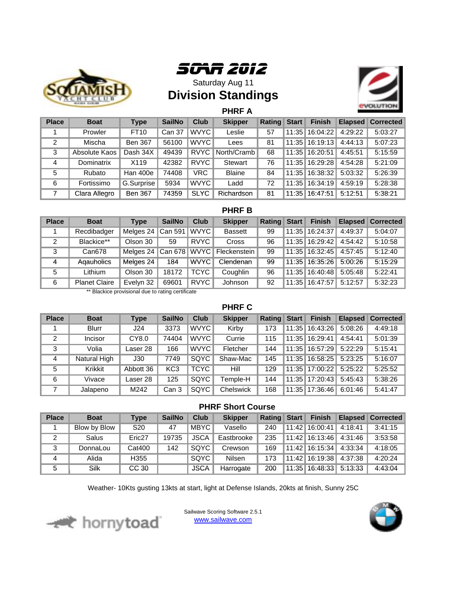



Saturday Aug 11 **Division Standings**



**PHRF A**

| <b>Place</b> | <b>Boat</b>   | <b>Type</b>    | <b>SailNo</b> | <b>Club</b> | <b>Skipper</b> | Rating | <b>Start</b> | <b>Finish</b>    |         | <b>Elapsed Corrected</b> |
|--------------|---------------|----------------|---------------|-------------|----------------|--------|--------------|------------------|---------|--------------------------|
|              | Prowler       | FT10           | Can 37        | WVYC        | Leslie         | 57     |              | 11:35   16:04:22 | 4:29:22 | 5:03:27                  |
| 2            | Mischa        | <b>Ben 367</b> | 56100         | WVYC        | Lees           | 81     |              | 11:35   16:19:13 | 4:44:13 | 5:07:23                  |
| 3            | Absolute Kaos | Dash 34X       | 49439         | <b>RVYC</b> | North/Cramb    | 68     |              | 11:35 16:20:51   | 4:45:51 | 5:15:59                  |
| 4            | Dominatrix    | X119           | 42382         | <b>RVYC</b> | <b>Stewart</b> | 76     |              | 11:35   16:29:28 | 4:54:28 | 5:21:09                  |
| 5            | Rubato        | Han 400e       | 74408         | VRC         | <b>Blaine</b>  | 84     |              | 11:35 16:38:32   | 5:03:32 | 5:26:39                  |
| 6            | Fortissimo    | G.Surprise     | 5934          | <b>WVYC</b> | Ladd           | 72     | 11:35        | 16:34:19         | 4:59:19 | 5:28:38                  |
|              | Clara Allegro | <b>Ben 367</b> | 74359         | <b>SLYC</b> | Richardson     | 81     | 11:35        | 16:47:51         | 5:12:51 | 5:38:21                  |

## **PHRF B**

| <b>Place</b> | <b>Boat</b>          | Type          | <b>SailNo</b>  | <b>Club</b> | <b>Skipper</b> | Rating Start |       | <b>Finish</b>  |         | <b>Elapsed Corrected</b> |
|--------------|----------------------|---------------|----------------|-------------|----------------|--------------|-------|----------------|---------|--------------------------|
|              | Recdibadger          | Melges 24 $ $ | Can 591        | <b>WVYC</b> | <b>Bassett</b> | 99           | 11:35 | 16:24:37       | 4:49:37 | 5:04:07                  |
| 2            | Blackice**           | Olson 30      | 59             | <b>RVYC</b> | Cross          | 96           | 11:35 | 16:29:42       | 4:54:42 | 5:10:58                  |
| 3            | Can678               | Melaes 24     | Can 678 $WVYC$ |             | Fleckenstein   | 99           |       | 11:35 16:32:45 | 4:57:45 | 5:12:40                  |
| 4            | Agauholics           | Melges 24     | 184            | <b>WVYC</b> | Clendenan      | 99           |       | 11:35 16:35:26 | 5:00:26 | 5:15:29                  |
| 5            | Lithium              | Olson 30      | 18172          | <b>TCYC</b> | Coughlin       | 96           | 11:35 | 16:40:48       | 5:05:48 | 5:22:41                  |
| 6            | <b>Planet Claire</b> | Evelyn 32     | 69601          | <b>RVYC</b> | Johnson        | 92           | 11:35 | 16:47:57       | 5:12:57 | 5:32:23                  |

\*\* Blackice provisional due to rating certificate

## **PHRF C**

| <b>Place</b>   | <b>Boat</b>  | <b>Type</b> | <b>SailNo</b>    | <b>Club</b> | <b>Skipper</b> | Rating | <b>Start</b> | <b>Finish</b>    |         | <b>Elapsed Corrected</b> |
|----------------|--------------|-------------|------------------|-------------|----------------|--------|--------------|------------------|---------|--------------------------|
|                | <b>Blurr</b> | J24         | 3373             | WVYC I      | Kirby          | 173    |              | 11:35   16:43:26 | 5:08:26 | 4:49:18                  |
| 2              | Incisor      | CY8.0       | 74404            | WVYC        | Currie         | 115    |              | 11:35 16:29:41   | 4:54:41 | 5:01:39                  |
| 3              | Volia        | Laser 28    | 166              | WVYC        | Fletcher       | 144    |              | 11:35 16:57:29   | 5:22:29 | 5:15:41                  |
| $\overline{4}$ | Natural High | J30         | 7749             | SOYC        | Shaw-Mac       | 145    |              | 11:35 16:58:25   | 5:23:25 | 5:16:07                  |
| 5              | Krikkit      | Abbott 36   | KC <sub>3</sub>  | <b>TCYC</b> | Hill           | 129    |              | 11:35 17:00:22   | 5:25:22 | 5:25:52                  |
| 6              | Vivace       | Laser 28    | 125              | SQYC        | Temple-H       | 144    |              | 11:35 17:20:43   | 5:45:43 | 5:38:26                  |
|                | Jalapeno     | M242        | Can <sub>3</sub> | SQYC        | Chelswick      | 168    |              | 11:35 17:36:46   | 6:01:46 | 5:41:47                  |

## **PHRF Short Course**

| <b>Place</b> | <b>Boat</b>  | Type               | <b>SailNo</b> | Club        | <b>Skipper</b> | Rating Start | <b>Finish</b>    |         | <b>Elapsed Corrected</b> |
|--------------|--------------|--------------------|---------------|-------------|----------------|--------------|------------------|---------|--------------------------|
|              | Blow by Blow | S <sub>20</sub>    | 47            | MBYC        | Vasello        | 240          | 11:42   16:00:41 | 4:18:41 | 3:41:15                  |
| 2            | Salus        | Eric <sub>27</sub> | 19735         | <b>JSCA</b> | Eastbrooke     | 235          | 11:42 16:13:46   | 4:31:46 | 3:53:58                  |
| 3            | DonnaLou     | Cat400             | 142           | SQYC        | Crewson        | 169          | 11:42   16:15:34 | 4:33:34 | 4:18:05                  |
| 4            | Alida        | H355               |               | SQYC        | Nilsen         | 173          | 11:42 16:19:38   | 4:37:38 | 4:20:24                  |
| 5            | Silk         | CC 30              |               | <b>JSCA</b> | Harrogate      | 200          | 11:35 16:48:33   | 5:13:33 | 4:43:04                  |

Weather- 10Kts gusting 13kts at start, light at Defense Islands, 20kts at finish, Sunny 25C



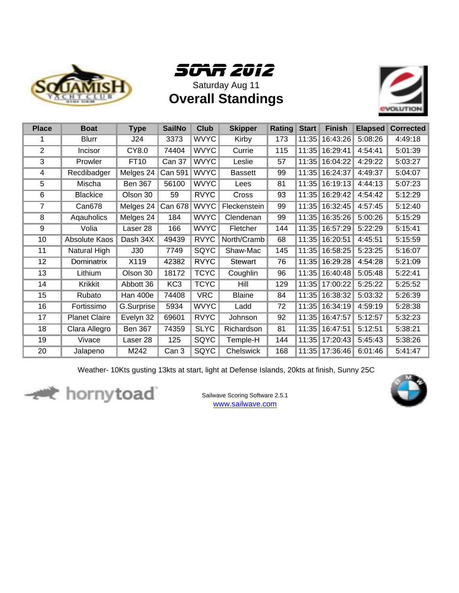



**Overall Standings**



| <b>Place</b> | <b>Boat</b>          | <b>Type</b>    | <b>SailNo</b>   | <b>Club</b> | <b>Skipper</b> | Rating | <b>Start</b> | <b>Finish</b> | <b>Elapsed</b> | <b>Corrected</b> |
|--------------|----------------------|----------------|-----------------|-------------|----------------|--------|--------------|---------------|----------------|------------------|
| 1            | <b>Blurr</b>         | J24            | 3373            | <b>WVYC</b> | Kirby          | 173    | 11:35        | 16:43:26      | 5:08:26        | 4:49:18          |
| 2            | Incisor              | CY8.0          | 74404           | <b>WVYC</b> | Currie         | 115    | 11:35        | 16:29:41      | 4:54:41        | 5:01:39          |
| 3            | Prowler              | <b>FT10</b>    | <b>Can 37</b>   | <b>WVYC</b> | Leslie         | 57     | 11:35        | 16:04:22      | 4:29:22        | 5:03:27          |
| 4            | Recdibadger          | Melges 24      | Can 591         | <b>WVYC</b> | <b>Bassett</b> | 99     | 11:35        | 16:24:37      | 4:49:37        | 5:04:07          |
| 5            | Mischa               | <b>Ben 367</b> | 56100           | <b>WVYC</b> | Lees           | 81     | 11:35        | 16:19:13      | 4:44:13        | 5:07:23          |
| 6            | <b>Blackice</b>      | Olson 30       | 59              | <b>RVYC</b> | Cross          | 93     | 11:35        | 16:29:42      | 4:54:42        | 5:12:29          |
| 7            | Can678               | Melges 24      | <b>Can 678</b>  | <b>WVYC</b> | Fleckenstein   | 99     | 11:35        | 16:32:45      | 4:57:45        | 5:12:40          |
| 8            | Agauholics           | Melges 24      | 184             | <b>WVYC</b> | Clendenan      | 99     | 11:35        | 16:35:26      | 5:00:26        | 5:15:29          |
| 9            | Volia                | Laser 28       | 166             | <b>WVYC</b> | Fletcher       | 144    | 11:35        | 16:57:29      | 5:22:29        | 5:15:41          |
| 10           | Absolute Kaos        | Dash 34X       | 49439           | <b>RVYC</b> | North/Cramb    | 68     | 11:35        | 16:20:51      | 4:45:51        | 5:15:59          |
| 11           | Natural High         | J30            | 7749            | <b>SQYC</b> | Shaw-Mac       | 145    | 11:35        | 16:58:25      | 5:23:25        | 5:16:07          |
| 12           | Dominatrix           | X119           | 42382           | <b>RVYC</b> | Stewart        | 76     | 11:35        | 16:29:28      | 4:54:28        | 5:21:09          |
| 13           | Lithium              | Olson 30       | 18172           | <b>TCYC</b> | Coughlin       | 96     | 11:35        | 16:40:48      | 5:05:48        | 5:22:41          |
| 14           | Krikkit              | Abbott 36      | KC <sub>3</sub> | <b>TCYC</b> | Hill           | 129    | 11:35        | 17:00:22      | 5:25:22        | 5:25:52          |
| 15           | Rubato               | Han 400e       | 74408           | <b>VRC</b>  | <b>Blaine</b>  | 84     | 11:35        | 16:38:32      | 5:03:32        | 5:26:39          |
| 16           | Fortissimo           | G.Surprise     | 5934            | <b>WVYC</b> | Ladd           | 72     | 11:35        | 16:34:19      | 4:59:19        | 5:28:38          |
| 17           | <b>Planet Claire</b> | Evelyn 32      | 69601           | <b>RVYC</b> | Johnson        | 92     | 11:35        | 16:47:57      | 5:12:57        | 5:32:23          |
| 18           | Clara Allegro        | <b>Ben 367</b> | 74359           | <b>SLYC</b> | Richardson     | 81     | 11:35        | 16:47:51      | 5:12:51        | 5:38:21          |
| 19           | Vivace               | Laser 28       | 125             | SQYC        | Temple-H       | 144    | 11:35        | 17:20:43      | 5:45:43        | 5:38:26          |
| 20           | Jalapeno             | M242           | Can 3           | SQYC        | Chelswick      | 168    | 11:35        | 17:36:46      | 6:01:46        | 5:41:47          |

Weather- 10Kts gusting 13kts at start, light at Defense Islands, 20kts at finish, Sunny 25C